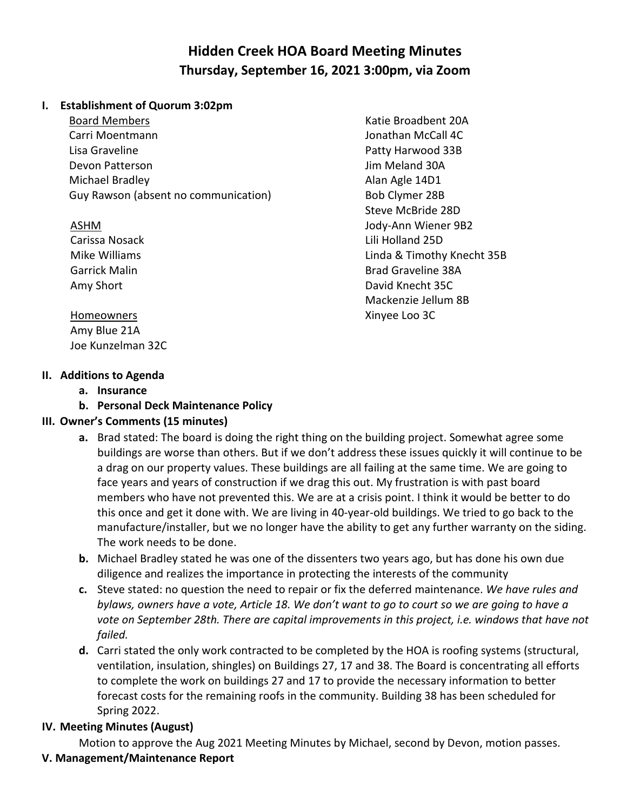# **Hidden Creek HOA Board Meeting Minutes Thursday, September 16, 2021 3:00pm, via Zoom**

#### **I. Establishment of Quorum 3:02pm**

Board Members Carri Moentmann Lisa Graveline Devon Patterson Michael Bradley Guy Rawson (absent no communication)

#### ASHM

Carissa Nosack Mike Williams Garrick Malin Amy Short

#### Katie Broadbent 20A Jonathan McCall 4C Patty Harwood 33B Jim Meland 30A Alan Agle 14D1 Bob Clymer 28B Steve McBride 28D Jody-Ann Wiener 9B2 Lili Holland 25D Linda & Timothy Knecht 35B Brad Graveline 38A David Knecht 35C Mackenzie Jellum 8B Xinyee Loo 3C

**Homeowners** Amy Blue 21A Joe Kunzelman 32C

- **II. Additions to Agenda a. Insurance**
	- **b. Personal Deck Maintenance Policy**

## **III. Owner's Comments (15 minutes)**

- **a.** Brad stated: The board is doing the right thing on the building project. Somewhat agree some buildings are worse than others. But if we don't address these issues quickly it will continue to be a drag on our property values. These buildings are all failing at the same time. We are going to face years and years of construction if we drag this out. My frustration is with past board members who have not prevented this. We are at a crisis point. I think it would be better to do this once and get it done with. We are living in 40-year-old buildings. We tried to go back to the manufacture/installer, but we no longer have the ability to get any further warranty on the siding. The work needs to be done.
- **b.** Michael Bradley stated he was one of the dissenters two years ago, but has done his own due diligence and realizes the importance in protecting the interests of the community
- **c.** Steve stated: no question the need to repair or fix the deferred maintenance. *We have rules and* bylaws, owners have a vote, Article 18. We don't want to go to court so we are going to have a *vote on September 28th. There are capital improvements in this project, i.e. windows that have not failed.*
- **d.** Carri stated the only work contracted to be completed by the HOA is roofing systems (structural, ventilation, insulation, shingles) on Buildings 27, 17 and 38. The Board is concentrating all efforts to complete the work on buildings 27 and 17 to provide the necessary information to better forecast costs for the remaining roofs in the community. Building 38 has been scheduled for Spring 2022.

## **IV. Meeting Minutes (August)**

Motion to approve the Aug 2021 Meeting Minutes by Michael, second by Devon, motion passes.

## **V. Management/Maintenance Report**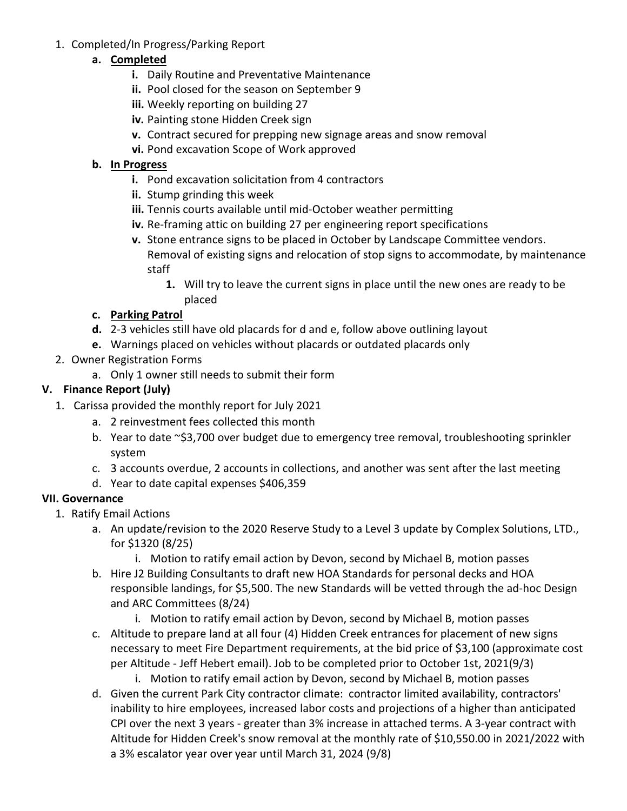1. Completed/In Progress/Parking Report

## **a. Completed**

- **i.** Daily Routine and Preventative Maintenance
- **ii.** Pool closed for the season on September 9
- **iii.** Weekly reporting on building 27
- **iv.** Painting stone Hidden Creek sign
- **v.** Contract secured for prepping new signage areas and snow removal
- **vi.** Pond excavation Scope of Work approved

## **b. In Progress**

- **i.** Pond excavation solicitation from 4 contractors
- **ii.** Stump grinding this week
- **iii.** Tennis courts available until mid-October weather permitting
- **iv.** Re-framing attic on building 27 per engineering report specifications
- **v.** Stone entrance signs to be placed in October by Landscape Committee vendors. Removal of existing signs and relocation of stop signs to accommodate, by maintenance staff
	- **1.** Will try to leave the current signs in place until the new ones are ready to be placed

## **c. Parking Patrol**

- **d.** 2-3 vehicles still have old placards for d and e, follow above outlining layout
- **e.** Warnings placed on vehicles without placards or outdated placards only
- 2. Owner Registration Forms
	- a. Only 1 owner still needs to submit their form

## **V. Finance Report (July)**

- 1. Carissa provided the monthly report for July 2021
	- a. 2 reinvestment fees collected this month
	- b. Year to date ~\$3,700 over budget due to emergency tree removal, troubleshooting sprinkler system
	- c. 3 accounts overdue, 2 accounts in collections, and another was sent after the last meeting
	- d. Year to date capital expenses \$406,359

## **VII. Governance**

- 1. Ratify Email Actions
	- a. An update/revision to the 2020 Reserve Study to a Level 3 update by Complex Solutions, LTD., for \$1320 (8/25)
		- i. Motion to ratify email action by Devon, second by Michael B, motion passes
	- b. Hire J2 Building Consultants to draft new HOA Standards for personal decks and HOA responsible landings, for \$5,500. The new Standards will be vetted through the ad-hoc Design and ARC Committees (8/24)
		- i. Motion to ratify email action by Devon, second by Michael B, motion passes
	- c. Altitude to prepare land at all four (4) Hidden Creek entrances for placement of new signs necessary to meet Fire Department requirements, at the bid price of \$3,100 (approximate cost per Altitude - Jeff Hebert email). Job to be completed prior to October 1st, 2021(9/3)
		- i. Motion to ratify email action by Devon, second by Michael B, motion passes
	- d. Given the current Park City contractor climate: contractor limited availability, contractors' inability to hire employees, increased labor costs and projections of a higher than anticipated CPI over the next 3 years - greater than 3% increase in attached terms. A 3-year contract with Altitude for Hidden Creek's snow removal at the monthly rate of \$10,550.00 in 2021/2022 with a 3% escalator year over year until March 31, 2024 (9/8)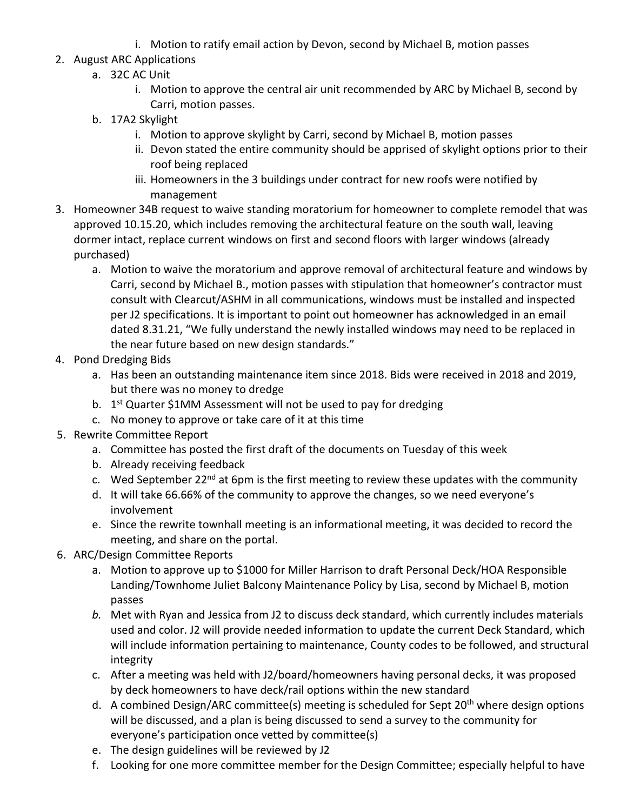i. Motion to ratify email action by Devon, second by Michael B, motion passes

## 2. August ARC Applications

- a. 32C AC Unit
	- i. Motion to approve the central air unit recommended by ARC by Michael B, second by Carri, motion passes.
- b. 17A2 Skylight
	- i. Motion to approve skylight by Carri, second by Michael B, motion passes
	- ii. Devon stated the entire community should be apprised of skylight options prior to their roof being replaced
	- iii. Homeowners in the 3 buildings under contract for new roofs were notified by management
- 3. Homeowner 34B request to waive standing moratorium for homeowner to complete remodel that was approved 10.15.20, which includes removing the architectural feature on the south wall, leaving dormer intact, replace current windows on first and second floors with larger windows (already purchased)
	- a. Motion to waive the moratorium and approve removal of architectural feature and windows by Carri, second by Michael B., motion passes with stipulation that homeowner's contractor must consult with Clearcut/ASHM in all communications, windows must be installed and inspected per J2 specifications. It is important to point out homeowner has acknowledged in an email dated 8.31.21, "We fully understand the newly installed windows may need to be replaced in the near future based on new design standards."
- 4. Pond Dredging Bids
	- a. Has been an outstanding maintenance item since 2018. Bids were received in 2018 and 2019, but there was no money to dredge
	- b.  $1<sup>st</sup>$  Quarter \$1MM Assessment will not be used to pay for dredging
	- c. No money to approve or take care of it at this time
- 5. Rewrite Committee Report
	- a. Committee has posted the first draft of the documents on Tuesday of this week
	- b. Already receiving feedback
	- c. Wed September 22 $^{nd}$  at 6pm is the first meeting to review these updates with the community
	- d. It will take 66.66% of the community to approve the changes, so we need everyone's involvement
	- e. Since the rewrite townhall meeting is an informational meeting, it was decided to record the meeting, and share on the portal.
- 6. ARC/Design Committee Reports
	- a. Motion to approve up to \$1000 for Miller Harrison to draft Personal Deck/HOA Responsible Landing/Townhome Juliet Balcony Maintenance Policy by Lisa, second by Michael B, motion passes
	- *b.* Met with Ryan and Jessica from J2 to discuss deck standard, which currently includes materials used and color. J2 will provide needed information to update the current Deck Standard, which will include information pertaining to maintenance, County codes to be followed, and structural integrity
	- c. After a meeting was held with J2/board/homeowners having personal decks, it was proposed by deck homeowners to have deck/rail options within the new standard
	- d. A combined Design/ARC committee(s) meeting is scheduled for Sept 20<sup>th</sup> where design options will be discussed, and a plan is being discussed to send a survey to the community for everyone's participation once vetted by committee(s)
	- e. The design guidelines will be reviewed by J2
	- f. Looking for one more committee member for the Design Committee; especially helpful to have